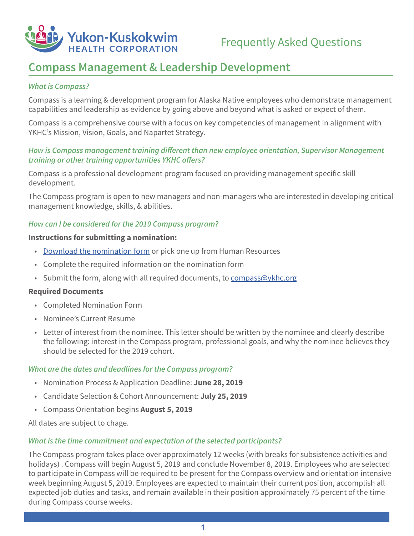

# **Compass Management & Leadership Development**

# *What is Compass?*

Compass is a learning & development program for Alaska Native employees who demonstrate management capabilities and leadership as evidence by going above and beyond what is asked or expect of them.

Compass is a comprehensive course with a focus on key competencies of management in alignment with YKHC's Mission, Vision, Goals, and Napartet Strategy.

# *How is Compass management training different than new employee orientation, Supervisor Management training or other training opportunities YKHC offers?*

Compass is a professional development program focused on providing management specific skill development.

The Compass program is open to new managers and non-managers who are interested in developing critical management knowledge, skills, & abilities.

### *How can I be considered for the 2019 Compass program?*

#### **Instructions for submitting a nomination:**

- [Download the nomination form](http://ykhcintranet.ykhc.org/apps/libraryapp/index.cfm?fuseaction=Document.ShowDocumentDetail&id=2063) or pick one up from Human Resources
- Complete the required information on the nomination form
- Submit the form, along with all required documents, to [compass@ykhc.org](mailto:compass%40ykhc.org?subject=)

#### **Required Documents**

- Completed Nomination Form
- Nominee's Current Resume
- Letter of interest from the nominee. This letter should be written by the nominee and clearly describe the following: interest in the Compass program, professional goals, and why the nominee believes they should be selected for the 2019 cohort.

#### *What are the dates and deadlines for the Compass program?*

- Nomination Process & Application Deadline: **June 28, 2019**
- Candidate Selection & Cohort Announcement: **July 25, 2019**
- Compass Orientation begins **August 5, 2019**

All dates are subject to chage.

### *What is the time commitment and expectation of the selected participants?*

The Compass program takes place over approximately 12 weeks (with breaks for subsistence activities and holidays) . Compass will begin August 5, 2019 and conclude November 8, 2019. Employees who are selected to participate in Compass will be required to be present for the Compass overview and orientation intensive week beginning August 5, 2019. Employees are expected to maintain their current position, accomplish all expected job duties and tasks, and remain available in their position approximately 75 percent of the time during Compass course weeks.